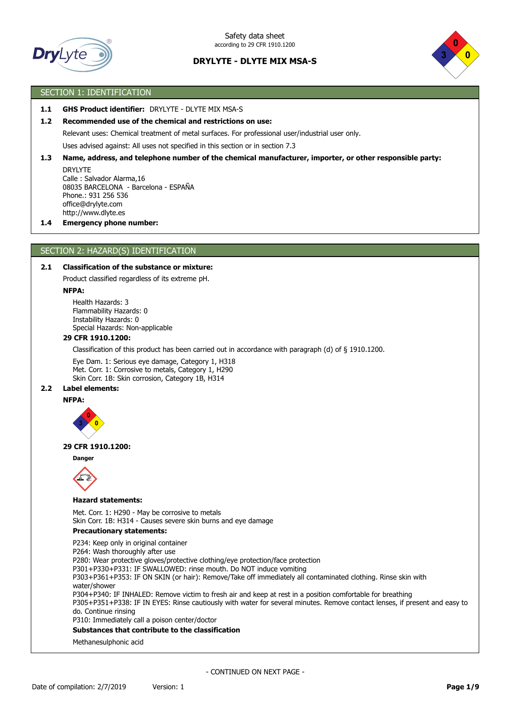



# SECTION 1: IDENTIFICATION

# **1.1 GHS Product identifier:** DRYLYTE - DLYTE MIX MSA-S

### **1.2 Recommended use of the chemical and restrictions on use:**

Relevant uses: Chemical treatment of metal surfaces. For professional user/industrial user only.

Uses advised against: All uses not specified in this section or in section 7.3

### **1.3 Name, address, and telephone number of the chemical manufacturer, importer, or other responsible party:**

DRYLYTE Calle : Salvador Alarma,16 08035 BARCELONA - Barcelona - ESPAÑA Phone.: 931 256 536 office@drylyte.com http://www.dlyte.es

#### **1.4 Emergency phone number:**

### SECTION 2: HAZARD(S) IDENTIFICATION

# **2.1 Classification of the substance or mixture:**

Product classified regardless of its extreme pH.

### **NFPA:**

Health Hazards: 3 Flammability Hazards: 0 Instability Hazards: 0 Special Hazards: Non-applicable

### **29 CFR 1910.1200:**

Classification of this product has been carried out in accordance with paragraph (d) of § 1910.1200.

Eye Dam. 1: Serious eye damage, Category 1, H318 Met. Corr. 1: Corrosive to metals, Category 1, H290 Skin Corr. 1B: Skin corrosion, Category 1B, H314

### **2.2 Label elements:**

#### **NFPA:**



#### **29 CFR 1910.1200:**

**Danger**



#### **Hazard statements:**

Met. Corr. 1: H290 - May be corrosive to metals Skin Corr. 1B: H314 - Causes severe skin burns and eye damage

#### **Precautionary statements:**

P234: Keep only in original container

P264: Wash thoroughly after use

P280: Wear protective gloves/protective clothing/eye protection/face protection

P301+P330+P331: IF SWALLOWED: rinse mouth. Do NOT induce vomiting

P303+P361+P353: IF ON SKIN (or hair): Remove/Take off immediately all contaminated clothing. Rinse skin with water/shower

P304+P340: IF INHALED: Remove victim to fresh air and keep at rest in a position comfortable for breathing

P305+P351+P338: IF IN EYES: Rinse cautiously with water for several minutes. Remove contact lenses, if present and easy to do. Continue rinsing

P310: Immediately call a poison center/doctor

# **Substances that contribute to the classification**

Methanesulphonic acid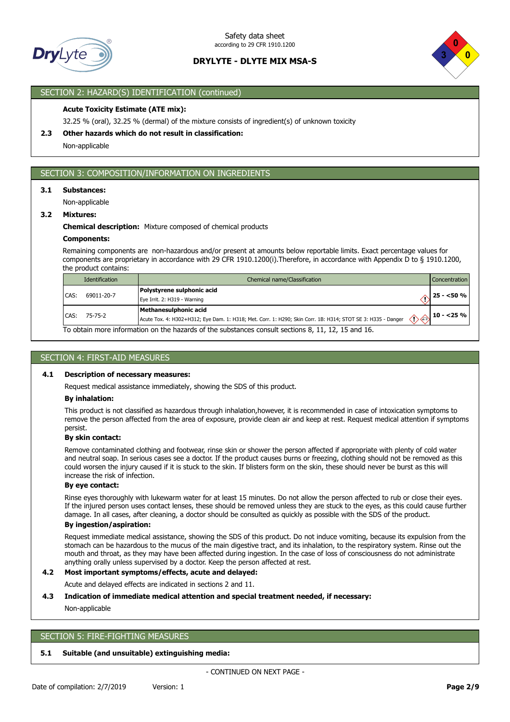



# SECTION 2: HAZARD(S) IDENTIFICATION (continued)

### **Acute Toxicity Estimate (ATE mix):**

32.25 % (oral), 32.25 % (dermal) of the mixture consists of ingredient(s) of unknown toxicity

### **2.3 Other hazards which do not result in classification:**

Non-applicable

# SECTION 3: COMPOSITION/INFORMATION ON INGREDIENTS

#### **3.1 Substances:**

Non-applicable

# **3.2 Mixtures:**

#### **Chemical description:** Mixture composed of chemical products

### **Components:**

Remaining components are non-hazardous and/or present at amounts below reportable limits. Exact percentage values for components are proprietary in accordance with 29 CFR 1910.1200(i).Therefore, in accordance with Appendix D to § 1910.1200, the product contains:

|      | Identification                                                                                     | Chemical name/Classification                                                                                                          | <b>Concentration</b>                                  |  |  |  |
|------|----------------------------------------------------------------------------------------------------|---------------------------------------------------------------------------------------------------------------------------------------|-------------------------------------------------------|--|--|--|
| CAS: | 69011-20-7                                                                                         | Polystyrene sulphonic acid<br>Eye Irrit. 2: H319 - Warning                                                                            | $\sim$ 25 - <50 %                                     |  |  |  |
|      | CAS: 75-75-2                                                                                       | Methanesulphonic acid<br>Acute Tox. 4: H302+H312; Eye Dam. 1: H318; Met. Corr. 1: H290; Skin Corr. 1B: H314; STOT SE 3: H335 - Danger | $\sim$ $\langle \rangle$ $\langle \rangle$ 10 - <25 % |  |  |  |
|      | To obtain more information on the hazards of the substances consult sections 8, 11, 12, 15 and 16. |                                                                                                                                       |                                                       |  |  |  |

# SECTION 4: FIRST-AID MEASURES

### **4.1 Description of necessary measures:**

Request medical assistance immediately, showing the SDS of this product.

#### **By inhalation:**

This product is not classified as hazardous through inhalation,however, it is recommended in case of intoxication symptoms to remove the person affected from the area of exposure, provide clean air and keep at rest. Request medical attention if symptoms persist.

### **By skin contact:**

Remove contaminated clothing and footwear, rinse skin or shower the person affected if appropriate with plenty of cold water and neutral soap. In serious cases see a doctor. If the product causes burns or freezing, clothing should not be removed as this could worsen the injury caused if it is stuck to the skin. If blisters form on the skin, these should never be burst as this will increase the risk of infection.

#### **By eye contact:**

Rinse eyes thoroughly with lukewarm water for at least 15 minutes. Do not allow the person affected to rub or close their eyes. If the injured person uses contact lenses, these should be removed unless they are stuck to the eyes, as this could cause further damage. In all cases, after cleaning, a doctor should be consulted as quickly as possible with the SDS of the product.

# **By ingestion/aspiration:**

Request immediate medical assistance, showing the SDS of this product. Do not induce vomiting, because its expulsion from the stomach can be hazardous to the mucus of the main digestive tract, and its inhalation, to the respiratory system. Rinse out the mouth and throat, as they may have been affected during ingestion. In the case of loss of consciousness do not administrate anything orally unless supervised by a doctor. Keep the person affected at rest.

#### **4.2 Most important symptoms/effects, acute and delayed:**

Acute and delayed effects are indicated in sections 2 and 11.

### **4.3 Indication of immediate medical attention and special treatment needed, if necessary:**

Non-applicable

# SECTION 5: FIRE-FIGHTING MEASURES

# **5.1 Suitable (and unsuitable) extinguishing media:**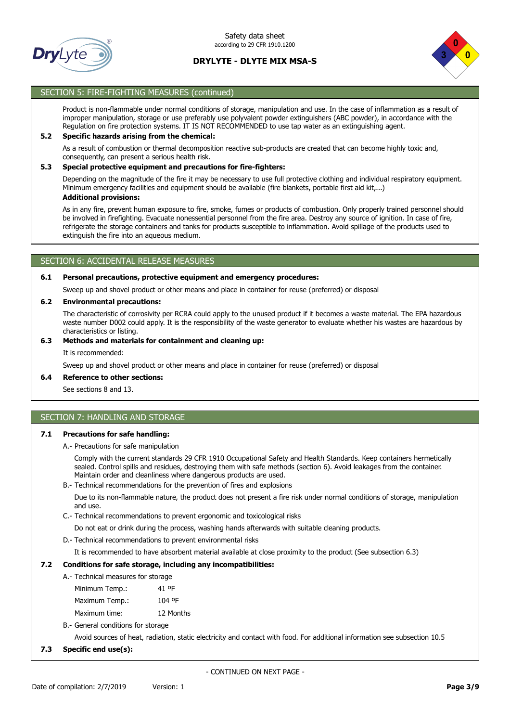



# SECTION 5: FIRE-FIGHTING MEASURES (continued)

Product is non-flammable under normal conditions of storage, manipulation and use. In the case of inflammation as a result of improper manipulation, storage or use preferably use polyvalent powder extinguishers (ABC powder), in accordance with the Regulation on fire protection systems. IT IS NOT RECOMMENDED to use tap water as an extinguishing agent.

### **5.2 Specific hazards arising from the chemical:**

As a result of combustion or thermal decomposition reactive sub-products are created that can become highly toxic and, consequently, can present a serious health risk.

### **5.3 Special protective equipment and precautions for fire-fighters:**

Depending on the magnitude of the fire it may be necessary to use full protective clothing and individual respiratory equipment. Minimum emergency facilities and equipment should be available (fire blankets, portable first aid kit,...) **Additional provisions:**

As in any fire, prevent human exposure to fire, smoke, fumes or products of combustion. Only properly trained personnel should be involved in firefighting. Evacuate nonessential personnel from the fire area. Destroy any source of ignition. In case of fire, refrigerate the storage containers and tanks for products susceptible to inflammation. Avoid spillage of the products used to extinguish the fire into an aqueous medium.

# SECTION 6: ACCIDENTAL RELEASE MEASURES

### **6.1 Personal precautions, protective equipment and emergency procedures:**

Sweep up and shovel product or other means and place in container for reuse (preferred) or disposal

### **6.2 Environmental precautions:**

The characteristic of corrosivity per RCRA could apply to the unused product if it becomes a waste material. The EPA hazardous waste number D002 could apply. It is the responsibility of the waste generator to evaluate whether his wastes are hazardous by characteristics or listing.

### **6.3 Methods and materials for containment and cleaning up:**

It is recommended:

Sweep up and shovel product or other means and place in container for reuse (preferred) or disposal

#### **6.4 Reference to other sections:**

See sections 8 and 13.

# SECTION 7: HANDLING AND STORAGE

### **7.1 Precautions for safe handling:**

A.- Precautions for safe manipulation

Comply with the current standards 29 CFR 1910 Occupational Safety and Health Standards. Keep containers hermetically sealed. Control spills and residues, destroying them with safe methods (section 6). Avoid leakages from the container. Maintain order and cleanliness where dangerous products are used.

B.- Technical recommendations for the prevention of fires and explosions

Due to its non-flammable nature, the product does not present a fire risk under normal conditions of storage, manipulation and use.

C.- Technical recommendations to prevent ergonomic and toxicological risks

Do not eat or drink during the process, washing hands afterwards with suitable cleaning products.

D.- Technical recommendations to prevent environmental risks

It is recommended to have absorbent material available at close proximity to the product (See subsection 6.3)

### **7.2 Conditions for safe storage, including any incompatibilities:**

- A.- Technical measures for storage
	- Minimum Temp.: 41 ºF Maximum Temp.: 104 ºF Maximum time: 12 Months
- B.- General conditions for storage

Avoid sources of heat, radiation, static electricity and contact with food. For additional information see subsection 10.5

### **7.3 Specific end use(s):**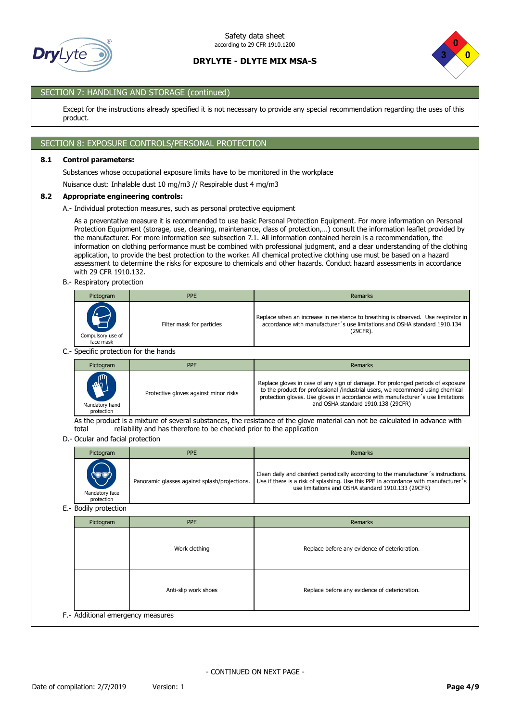



# SECTION 7: HANDLING AND STORAGE (continued)

Except for the instructions already specified it is not necessary to provide any special recommendation regarding the uses of this product.

# SECTION 8: EXPOSURE CONTROLS/PERSONAL PROTECTION

# **8.1 Control parameters:**

Substances whose occupational exposure limits have to be monitored in the workplace

Nuisance dust: Inhalable dust 10 mg/m3 // Respirable dust 4 mg/m3

#### **8.2 Appropriate engineering controls:**

A.- Individual protection measures, such as personal protective equipment

As a preventative measure it is recommended to use basic Personal Protection Equipment. For more information on Personal Protection Equipment (storage, use, cleaning, maintenance, class of protection,…) consult the information leaflet provided by the manufacturer. For more information see subsection 7.1. All information contained herein is a recommendation, the information on clothing performance must be combined with professional judgment, and a clear understanding of the clothing application, to provide the best protection to the worker. All chemical protective clothing use must be based on a hazard assessment to determine the risks for exposure to chemicals and other hazards. Conduct hazard assessments in accordance with 29 CFR 1910.132.

B.- Respiratory protection

| Pictogram                                                      | <b>PPE</b>                                                                                                    | <b>Remarks</b>                                                                                                                                                              |  |  |  |  |  |
|----------------------------------------------------------------|---------------------------------------------------------------------------------------------------------------|-----------------------------------------------------------------------------------------------------------------------------------------------------------------------------|--|--|--|--|--|
| 70.<br>$\blacktriangleright$<br>Compulsory use of<br>face mask | Filter mask for particles                                                                                     | Replace when an increase in resistence to breathing is observed. Use respirator in<br>accordance with manufacturer's use limitations and OSHA standard 1910.134<br>(29CFR). |  |  |  |  |  |
|                                                                | Considered and the state of the state of the state of the state of the state of the state of the state of the |                                                                                                                                                                             |  |  |  |  |  |

C.- Specific protection for the hands

| Pictogram                                        | <b>PPE</b>                            | Remarks                                                                                                                                                                                                                                                                                    |
|--------------------------------------------------|---------------------------------------|--------------------------------------------------------------------------------------------------------------------------------------------------------------------------------------------------------------------------------------------------------------------------------------------|
| <b>ANTI</b><br>J<br>Mandatory hand<br>protection | Protective gloves against minor risks | Replace gloves in case of any sign of damage. For prolonged periods of exposure<br>to the product for professional /industrial users, we recommend using chemical<br>protection gloves. Use gloves in accordance with manufacturer's use limitations<br>and OSHA standard 1910.138 (29CFR) |

As the product is a mixture of several substances, the resistance of the glove material can not be calculated in advance with total reliability and has therefore to be checked prior to the application

D.- Ocular and facial protection

| Pictogram                         | <b>PPE</b>                                    | Remarks                                                                                                                                                                                                                           |
|-----------------------------------|-----------------------------------------------|-----------------------------------------------------------------------------------------------------------------------------------------------------------------------------------------------------------------------------------|
| ٣<br>Mandatory face<br>protection | Panoramic glasses against splash/projections. | Clean daily and disinfect periodically according to the manufacturer's instructions.<br>Use if there is a risk of splashing. Use this PPE in accordance with manufacturer's<br>use limitations and OSHA standard 1910.133 (29CFR) |

E.- Bodily protection

| Pictogram                         | <b>PPE</b>           | Remarks                                       |  |  |
|-----------------------------------|----------------------|-----------------------------------------------|--|--|
|                                   | Work clothing        | Replace before any evidence of deterioration. |  |  |
|                                   | Anti-slip work shoes | Replace before any evidence of deterioration. |  |  |
| F.- Additional emergency measures |                      |                                               |  |  |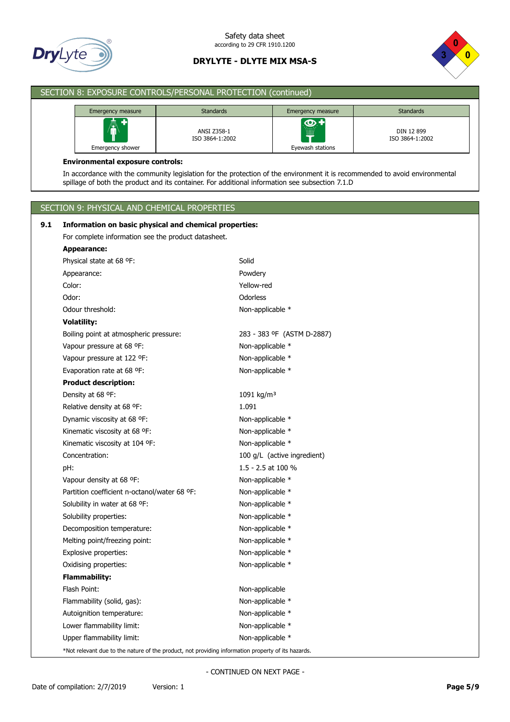



| SECTION 8: EXPOSURE CONTROLS/PERSONAL PROTECTION (continued) |                                                                                                                                                                                                                                |                                                        |                                  |                               |  |  |  |
|--------------------------------------------------------------|--------------------------------------------------------------------------------------------------------------------------------------------------------------------------------------------------------------------------------|--------------------------------------------------------|----------------------------------|-------------------------------|--|--|--|
|                                                              | Emergency measure                                                                                                                                                                                                              | <b>Standards</b>                                       | Emergency measure                | <b>Standards</b>              |  |  |  |
|                                                              | Emergency shower                                                                                                                                                                                                               | ANSI Z358-1<br>ISO 3864-1:2002                         | $\bigcirc$ +<br>Eyewash stations | DIN 12 899<br>ISO 3864-1:2002 |  |  |  |
|                                                              | <b>Environmental exposure controls:</b>                                                                                                                                                                                        |                                                        |                                  |                               |  |  |  |
|                                                              | In accordance with the community legislation for the protection of the environment it is recommended to avoid environmental<br>spillage of both the product and its container. For additional information see subsection 7.1.D |                                                        |                                  |                               |  |  |  |
|                                                              |                                                                                                                                                                                                                                |                                                        |                                  |                               |  |  |  |
|                                                              | SECTION 9: PHYSICAL AND CHEMICAL PROPERTIES                                                                                                                                                                                    |                                                        |                                  |                               |  |  |  |
| 9.1                                                          |                                                                                                                                                                                                                                | Information on basic physical and chemical properties: |                                  |                               |  |  |  |
|                                                              | For complete information see the product datasheet.                                                                                                                                                                            |                                                        |                                  |                               |  |  |  |
|                                                              | <b>Appearance:</b>                                                                                                                                                                                                             |                                                        |                                  |                               |  |  |  |
|                                                              | Physical state at 68 °F:                                                                                                                                                                                                       | Solid                                                  |                                  |                               |  |  |  |
|                                                              | Appearance:                                                                                                                                                                                                                    | Powdery                                                |                                  |                               |  |  |  |
|                                                              | Color:                                                                                                                                                                                                                         | Yellow-red                                             |                                  |                               |  |  |  |
|                                                              | Odor:                                                                                                                                                                                                                          | Odorless                                               |                                  |                               |  |  |  |
|                                                              | Odour threshold:                                                                                                                                                                                                               | Non-applicable *                                       |                                  |                               |  |  |  |
|                                                              | <b>Volatility:</b>                                                                                                                                                                                                             |                                                        |                                  |                               |  |  |  |
|                                                              | Boiling point at atmospheric pressure:                                                                                                                                                                                         |                                                        | 283 - 383 °F (ASTM D-2887)       |                               |  |  |  |
|                                                              | Vapour pressure at 68 °F:                                                                                                                                                                                                      | Non-applicable *                                       |                                  |                               |  |  |  |
|                                                              | Vapour pressure at 122 °F:                                                                                                                                                                                                     | Non-applicable *                                       |                                  |                               |  |  |  |
|                                                              | Evaporation rate at 68 °F:                                                                                                                                                                                                     | Non-applicable *                                       |                                  |                               |  |  |  |
|                                                              | <b>Product description:</b>                                                                                                                                                                                                    |                                                        |                                  |                               |  |  |  |
|                                                              | Density at 68 °F:                                                                                                                                                                                                              | 1091 kg/m <sup>3</sup>                                 |                                  |                               |  |  |  |
|                                                              | Relative density at 68 °F:<br>1.091                                                                                                                                                                                            |                                                        |                                  |                               |  |  |  |
|                                                              | Dynamic viscosity at 68 °F:                                                                                                                                                                                                    | Non-applicable *                                       |                                  |                               |  |  |  |
|                                                              | Kinematic viscosity at 68 °F:                                                                                                                                                                                                  | Non-applicable *                                       |                                  |                               |  |  |  |
|                                                              | Kinematic viscosity at 104 °F:                                                                                                                                                                                                 | Non-applicable *                                       |                                  |                               |  |  |  |
|                                                              | Concentration:                                                                                                                                                                                                                 |                                                        | 100 g/L (active ingredient)      |                               |  |  |  |
|                                                              | pH:                                                                                                                                                                                                                            | 1.5 - 2.5 at 100 %                                     |                                  |                               |  |  |  |
|                                                              | Vapour density at 68 °F:                                                                                                                                                                                                       | Non-applicable *                                       |                                  |                               |  |  |  |
|                                                              | Partition coefficient n-octanol/water 68 °F:                                                                                                                                                                                   | Non-applicable *                                       |                                  |                               |  |  |  |
|                                                              | Solubility in water at 68 °F:                                                                                                                                                                                                  | Non-applicable *                                       |                                  |                               |  |  |  |
|                                                              | Solubility properties:                                                                                                                                                                                                         | Non-applicable *                                       |                                  |                               |  |  |  |
|                                                              | Decomposition temperature:                                                                                                                                                                                                     | Non-applicable *                                       |                                  |                               |  |  |  |
|                                                              | Melting point/freezing point:                                                                                                                                                                                                  | Non-applicable *                                       |                                  |                               |  |  |  |
|                                                              | Explosive properties:<br>Oxidising properties:                                                                                                                                                                                 | Non-applicable *<br>Non-applicable *                   |                                  |                               |  |  |  |
|                                                              | <b>Flammability:</b>                                                                                                                                                                                                           |                                                        |                                  |                               |  |  |  |
|                                                              | Flash Point:                                                                                                                                                                                                                   | Non-applicable                                         |                                  |                               |  |  |  |
|                                                              | Flammability (solid, gas):                                                                                                                                                                                                     | Non-applicable *                                       |                                  |                               |  |  |  |
|                                                              | Autoignition temperature:                                                                                                                                                                                                      | Non-applicable *                                       |                                  |                               |  |  |  |
|                                                              | Lower flammability limit:                                                                                                                                                                                                      | Non-applicable *                                       |                                  |                               |  |  |  |
|                                                              | Upper flammability limit:                                                                                                                                                                                                      | Non-applicable *                                       |                                  |                               |  |  |  |
|                                                              |                                                                                                                                                                                                                                |                                                        |                                  |                               |  |  |  |

\*Not relevant due to the nature of the product, not providing information property of its hazards.

- CONTINUED ON NEXT PAGE -

I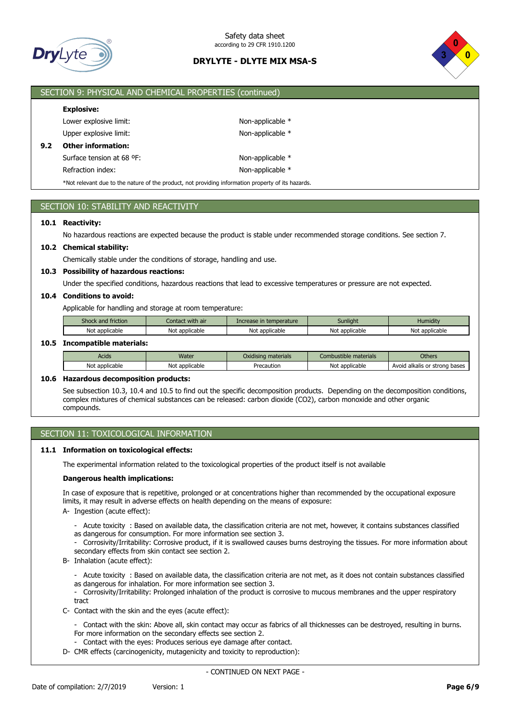



# SECTION 9: PHYSICAL AND CHEMICAL PROPERTIES (continued)

### **Explosive:**

|     | Lower explosive limit:    |
|-----|---------------------------|
|     | Upper explosive limit:    |
| 9.2 | <b>Other information:</b> |
|     | Surface tension at 68 °F: |
|     |                           |

Non-applicable \* Non-applicable \* Non-applicable \* Refraction index: Non-applicable \*

\*Not relevant due to the nature of the product, not providing information property of its hazards.

# SECTION 10: STABILITY AND REACTIVITY

### **10.1 Reactivity:**

No hazardous reactions are expected because the product is stable under recommended storage conditions. See section 7.

### **10.2 Chemical stability:**

Chemically stable under the conditions of storage, handling and use.

# **10.3 Possibility of hazardous reactions:**

Under the specified conditions, hazardous reactions that lead to excessive temperatures or pressure are not expected.

# **10.4 Conditions to avoid:**

Applicable for handling and storage at room temperature:

| Shock and friction | Contact with air | Increase in temperature | <b>Sunlight</b> | <b>Humidity</b> |
|--------------------|------------------|-------------------------|-----------------|-----------------|
| Not applicable     | Not applicable   | Not applicable          | Not applicable  | Not applicable  |

### **10.5 Incompatible materials:**

| Acids          | Water             | <b>materials</b><br>Oxidisina | .<br>materials<br>Combustible | Others                                        |
|----------------|-------------------|-------------------------------|-------------------------------|-----------------------------------------------|
| Not applicable | Not<br>applicable | Precaution                    | : applicable<br>Not           | trong bases.<br>Avoid<br>l alkalis or<br>- 21 |

### **10.6 Hazardous decomposition products:**

See subsection 10.3, 10.4 and 10.5 to find out the specific decomposition products. Depending on the decomposition conditions, complex mixtures of chemical substances can be released: carbon dioxide (CO2), carbon monoxide and other organic compounds.

# SECTION 11: TOXICOLOGICAL INFORMATION

# **11.1 Information on toxicological effects:**

The experimental information related to the toxicological properties of the product itself is not available

#### **Dangerous health implications:**

In case of exposure that is repetitive, prolonged or at concentrations higher than recommended by the occupational exposure limits, it may result in adverse effects on health depending on the means of exposure:

- A- Ingestion (acute effect):
	- Acute toxicity : Based on available data, the classification criteria are not met, however, it contains substances classified as dangerous for consumption. For more information see section 3.
	- Corrosivity/Irritability: Corrosive product, if it is swallowed causes burns destroying the tissues. For more information about secondary effects from skin contact see section 2.
- B- Inhalation (acute effect):

- Acute toxicity : Based on available data, the classification criteria are not met, as it does not contain substances classified as dangerous for inhalation. For more information see section 3.

- Corrosivity/Irritability: Prolonged inhalation of the product is corrosive to mucous membranes and the upper respiratory tract

- C- Contact with the skin and the eyes (acute effect):
	- Contact with the skin: Above all, skin contact may occur as fabrics of all thicknesses can be destroyed, resulting in burns. For more information on the secondary effects see section 2.
	- Contact with the eyes: Produces serious eye damage after contact.
- D- CMR effects (carcinogenicity, mutagenicity and toxicity to reproduction):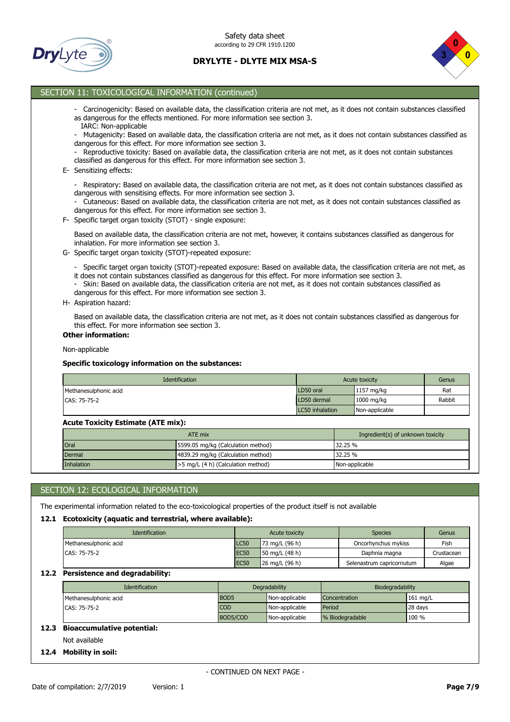



# SECTION 11: TOXICOLOGICAL INFORMATION (continued)

- Carcinogenicity: Based on available data, the classification criteria are not met, as it does not contain substances classified as dangerous for the effects mentioned. For more information see section 3.
- IARC: Non-applicable
- Mutagenicity: Based on available data, the classification criteria are not met, as it does not contain substances classified as dangerous for this effect. For more information see section 3.
- Reproductive toxicity: Based on available data, the classification criteria are not met, as it does not contain substances classified as dangerous for this effect. For more information see section 3.
- E- Sensitizing effects:
	- Respiratory: Based on available data, the classification criteria are not met, as it does not contain substances classified as dangerous with sensitising effects. For more information see section 3.
	- Cutaneous: Based on available data, the classification criteria are not met, as it does not contain substances classified as dangerous for this effect. For more information see section 3.
- F- Specific target organ toxicity (STOT) single exposure:

Based on available data, the classification criteria are not met, however, it contains substances classified as dangerous for inhalation. For more information see section 3.

- G- Specific target organ toxicity (STOT)-repeated exposure:
	- Specific target organ toxicity (STOT)-repeated exposure: Based on available data, the classification criteria are not met, as it does not contain substances classified as dangerous for this effect. For more information see section 3.
	- Skin: Based on available data, the classification criteria are not met, as it does not contain substances classified as dangerous for this effect. For more information see section 3.
- H- Aspiration hazard:

Based on available data, the classification criteria are not met, as it does not contain substances classified as dangerous for this effect. For more information see section 3.

#### **Other information:**

Non-applicable

### **Specific toxicology information on the substances:**

| <b>Identification</b> | Acute toxicity  |                | Genus  |
|-----------------------|-----------------|----------------|--------|
| Methanesulphonic acid | LD50 oral       | 1157 mg/kg     | Rat    |
| CAS: 75-75-2          | LD50 dermal     | 1000 mg/kg     | Rabbit |
|                       | LC50 inhalation | Non-applicable |        |

#### **Acute Toxicity Estimate (ATE mix):**

|                                                   | Ingredient(s) of unknown toxicity  |                |  |
|---------------------------------------------------|------------------------------------|----------------|--|
| <b>Oral</b><br>5599.05 mg/kg (Calculation method) |                                    | 32.25 %        |  |
| Dermal                                            | 4839.29 mg/kg (Calculation method) | 32.25%         |  |
| Inhalation                                        | >5 mg/L (4 h) (Calculation method) | Non-applicable |  |

# SECTION 12: ECOLOGICAL INFORMATION

The experimental information related to the eco-toxicological properties of the product itself is not available

#### **12.1 Ecotoxicity (aquatic and terrestrial, where available):**

| <b>Identification</b> |                  | Acute toxicity                    | <b>Species</b>            | Genus      |
|-----------------------|------------------|-----------------------------------|---------------------------|------------|
| Methanesulphonic acid | LC50             | 73 mg/L (96 h)                    | Oncorhynchus mykiss       | Fish       |
| CAS: 75-75-2          | EC <sub>50</sub> | $150 \text{ mg/L} (48 \text{ h})$ | Daphnia magna             | Crustacean |
|                       | <b>EC50</b>      | 26 mg/L (96 h)                    | Selenastrum capricornutum | Algae      |

### **12.2 Persistence and degradability:**

| <b>Identification</b> |                  | Degradability  | Biodegradability |            |
|-----------------------|------------------|----------------|------------------|------------|
| Methanesulphonic acid | BOD <sub>5</sub> | Non-applicable | Concentration    | $161$ mg/L |
| CAS: 75-75-2          | <b>COD</b>       | Non-applicable | Period           | 28 days    |
|                       | BOD5/COD         | Non-applicable | % Biodegradable  | 100 %      |

### **12.3 Bioaccumulative potential:**

Not available

#### **12.4 Mobility in soil:**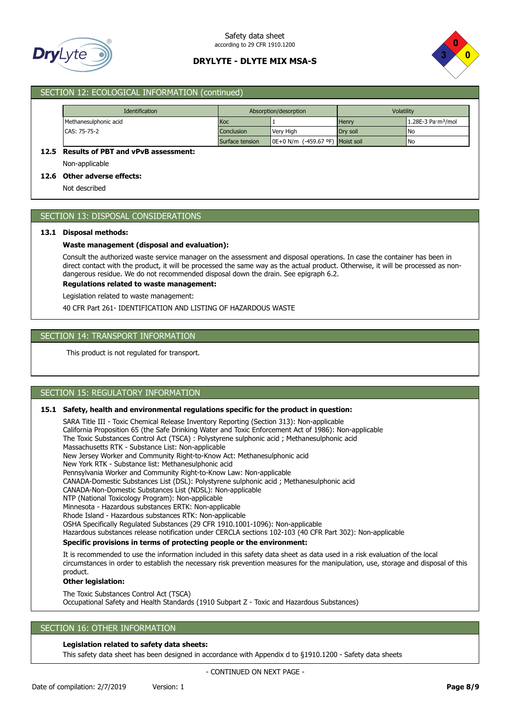



# SECTION 12: ECOLOGICAL INFORMATION (continued)

| <b>Identification</b>                              | Absorption/desorption |                                                 | Volatility   |                                          |
|----------------------------------------------------|-----------------------|-------------------------------------------------|--------------|------------------------------------------|
| Methanesulphonic acid                              | <b>Koc</b>            |                                                 | <b>Henry</b> | $1.28E-3$ Pa $\cdot$ m <sup>3</sup> /mol |
| CAS: 75-75-2                                       | Conclusion            | Very High                                       | Drv soil     | <b>INo</b>                               |
|                                                    | Surface tension       | $\blacksquare$ 0E+0 N/m (-459.67 °F) Moist soil |              | <b>INo</b>                               |
| 12.5<br><b>Results of PBT and vPvB assessment:</b> |                       |                                                 |              |                                          |

Non-applicable

# **12.6 Other adverse effects:**

Not described

# SECTION 13: DISPOSAL CONSIDERATIONS

#### **13.1 Disposal methods:**

#### **Waste management (disposal and evaluation):**

Consult the authorized waste service manager on the assessment and disposal operations. In case the container has been in direct contact with the product, it will be processed the same way as the actual product. Otherwise, it will be processed as nondangerous residue. We do not recommended disposal down the drain. See epigraph 6.2.

**Regulations related to waste management:**

Legislation related to waste management:

40 CFR Part 261- IDENTIFICATION AND LISTING OF HAZARDOUS WASTE

### SECTION 14: TRANSPORT INFORMATION

This product is not regulated for transport.

# SECTION 15: REGULATORY INFORMATION

### **15.1 Safety, health and environmental regulations specific for the product in question:**

SARA Title III - Toxic Chemical Release Inventory Reporting (Section 313): Non-applicable California Proposition 65 (the Safe Drinking Water and Toxic Enforcement Act of 1986): Non-applicable The Toxic Substances Control Act (TSCA) : Polystyrene sulphonic acid ; Methanesulphonic acid Massachusetts RTK - Substance List: Non-applicable New Jersey Worker and Community Right-to-Know Act: Methanesulphonic acid New York RTK - Substance list: Methanesulphonic acid Pennsylvania Worker and Community Right-to-Know Law: Non-applicable CANADA-Domestic Substances List (DSL): Polystyrene sulphonic acid ; Methanesulphonic acid CANADA-Non-Domestic Substances List (NDSL): Non-applicable NTP (National Toxicology Program): Non-applicable Minnesota - Hazardous substances ERTK: Non-applicable Rhode Island - Hazardous substances RTK: Non-applicable OSHA Specifically Regulated Substances (29 CFR 1910.1001-1096): Non-applicable Hazardous substances release notification under CERCLA sections 102-103 (40 CFR Part 302): Non-applicable **Specific provisions in terms of protecting people or the environment:** It is recommended to use the information included in this safety data sheet as data used in a risk evaluation of the local circumstances in order to establish the necessary risk prevention measures for the manipulation, use, storage and disposal of this

#### product. **Other legislation:**

The Toxic Substances Control Act (TSCA) Occupational Safety and Health Standards (1910 Subpart Z - Toxic and Hazardous Substances)

### SECTION 16: OTHER INFORMATION

#### **Legislation related to safety data sheets:**

This safety data sheet has been designed in accordance with Appendix d to §1910.1200 - Safety data sheets